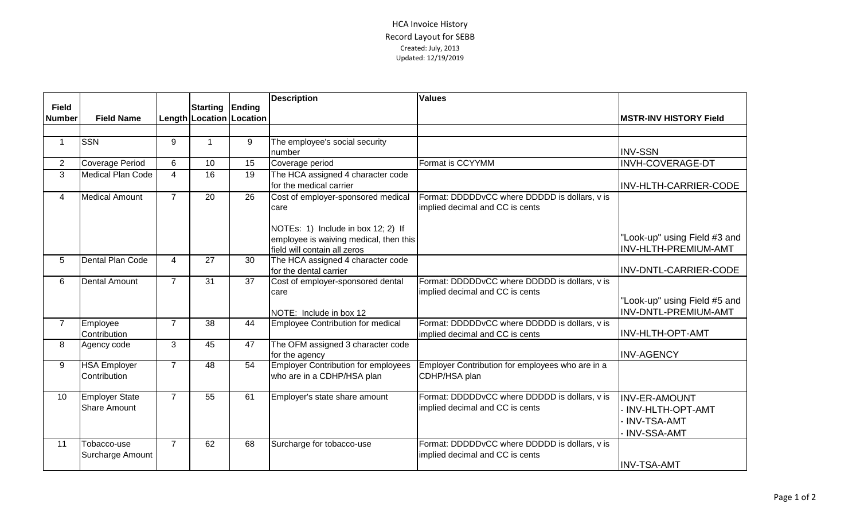## HCA Invoice History Record Layout for SEBB Created: July, 2013 Updated: 12/19/2019

| <b>Field</b>   |                                       |                | Starting Ending |                              | <b>Description</b>                                                                                                         | <b>Values</b>                                                                    |                                                                                   |
|----------------|---------------------------------------|----------------|-----------------|------------------------------|----------------------------------------------------------------------------------------------------------------------------|----------------------------------------------------------------------------------|-----------------------------------------------------------------------------------|
| <b>Number</b>  | <b>Field Name</b>                     |                |                 | Length   Location   Location |                                                                                                                            |                                                                                  | <b>MSTR-INV HISTORY Field</b>                                                     |
|                |                                       |                |                 |                              |                                                                                                                            |                                                                                  |                                                                                   |
| $\overline{1}$ | <b>SSN</b>                            | 9              |                 | 9                            | The employee's social security<br>number                                                                                   |                                                                                  | <b>INV-SSN</b>                                                                    |
| $\overline{2}$ | Coverage Period                       | 6              | 10              | 15                           | Coverage period                                                                                                            | Format is CCYYMM                                                                 | <b>INVH-COVERAGE-DT</b>                                                           |
| $\overline{3}$ | <b>Medical Plan Code</b>              | $\overline{4}$ | $\overline{16}$ | 19                           | The HCA assigned 4 character code<br>for the medical carrier                                                               |                                                                                  | INV-HLTH-CARRIER-CODE                                                             |
| $\overline{4}$ | <b>Medical Amount</b>                 | $\overline{7}$ | 20              | 26                           | Cost of employer-sponsored medical<br>care<br>NOTEs: 1) Include in box 12; 2) If<br>employee is waiving medical, then this | Format: DDDDDvCC where DDDDD is dollars, v is<br>implied decimal and CC is cents | "Look-up" using Field #3 and                                                      |
|                |                                       |                |                 |                              | field will contain all zeros                                                                                               |                                                                                  | INV-HLTH-PREMIUM-AMT                                                              |
| 5              | Dental Plan Code                      | $\overline{4}$ | 27              | 30                           | The HCA assigned 4 character code<br>for the dental carrier                                                                |                                                                                  | INV-DNTL-CARRIER-CODE                                                             |
| 6              | Dental Amount                         | $\overline{7}$ | 31              | 37                           | Cost of employer-sponsored dental<br>care<br>NOTE: Include in box 12                                                       | Format: DDDDDvCC where DDDDD is dollars, v is<br>implied decimal and CC is cents | "Look-up" using Field #5 and<br>INV-DNTL-PREMIUM-AMT                              |
| $\overline{7}$ | Employee<br>Contribution              | $\overline{7}$ | 38              | 44                           | <b>Employee Contribution for medical</b>                                                                                   | Format: DDDDDvCC where DDDDD is dollars, v is<br>implied decimal and CC is cents | <b>INV-HLTH-OPT-AMT</b>                                                           |
| 8              | Agency code                           | 3              | 45              | 47                           | The OFM assigned 3 character code<br>for the agency                                                                        |                                                                                  | <b>INV-AGENCY</b>                                                                 |
| 9              | <b>HSA Employer</b><br>Contribution   | $\overline{7}$ | 48              | 54                           | <b>Employer Contribution for employees</b><br>who are in a CDHP/HSA plan                                                   | Employer Contribution for employees who are in a<br>CDHP/HSA plan                |                                                                                   |
| 10             | <b>Employer State</b><br>Share Amount | $\overline{7}$ | 55              | 61                           | Employer's state share amount                                                                                              | Format: DDDDDvCC where DDDDD is dollars, v is<br>implied decimal and CC is cents | <b>INV-ER-AMOUNT</b><br>- INV-HLTH-OPT-AMT<br>· INV-TSA-AMT<br><b>INV-SSA-AMT</b> |
| 11             | Tobacco-use<br>Surcharge Amount       | $\overline{7}$ | 62              | 68                           | Surcharge for tobacco-use                                                                                                  | Format: DDDDDvCC where DDDDD is dollars, v is<br>implied decimal and CC is cents | <b>INV-TSA-AMT</b>                                                                |